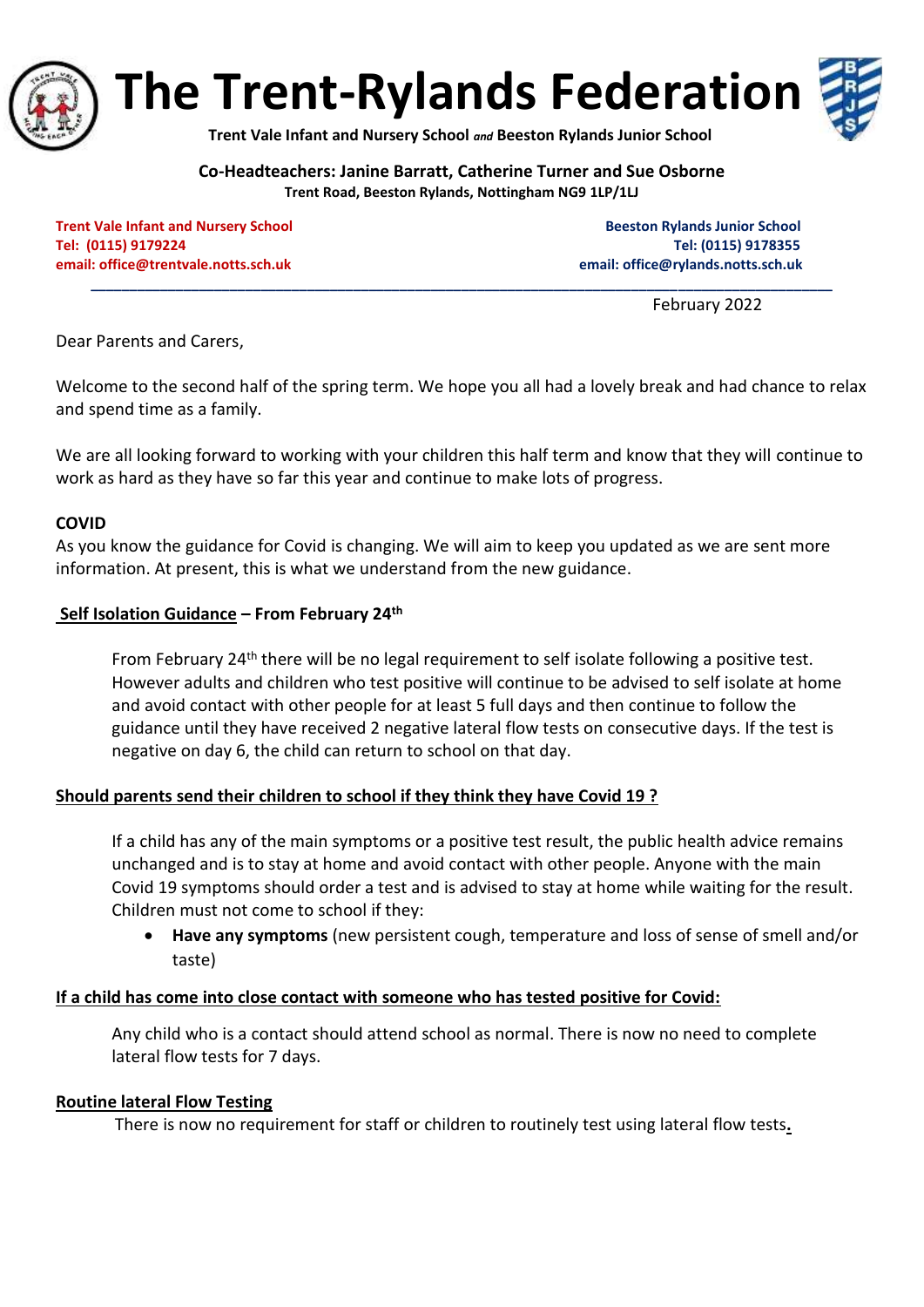

**The Trent-Rylands Federation**

**Trent Vale Infant and Nursery School** *and* **Beeston Rylands Junior School**

**Co-Headteachers: Janine Barratt, Catherine Turner and Sue Osborne Trent Road, Beeston Rylands, Nottingham NG9 1LP/1LJ**

**\_\_\_\_\_\_\_\_\_\_\_\_\_\_\_\_\_\_\_\_\_\_\_\_\_\_\_\_\_\_\_\_\_\_\_\_\_\_\_\_\_\_\_\_\_\_\_\_\_\_\_\_\_\_\_\_\_\_\_\_\_\_\_\_\_\_\_\_\_\_\_\_\_\_\_\_\_\_\_\_\_\_\_\_\_\_\_\_\_\_\_\_\_\_\_\_**

**Trent Vale Infant and Nursery School School Beeston Rylands Junior School Beeston Rylands Junior School Tel: (0115) 9179224 Tel: (0115) 9178355 email: [office@trentvale.notts.sch.uk](mailto:office@trentvale.notts.sch.uk) email[: office@rylands.notts.sch.uk](mailto:office@rylands.notts.sch.uk)**

February 2022

Dear Parents and Carers,

Welcome to the second half of the spring term. We hope you all had a lovely break and had chance to relax and spend time as a family.

We are all looking forward to working with your children this half term and know that they will continue to work as hard as they have so far this year and continue to make lots of progress.

## **COVID**

As you know the guidance for Covid is changing. We will aim to keep you updated as we are sent more information. At present, this is what we understand from the new guidance.

## **Self Isolation Guidance – From February 24th**

From February 24th there will be no legal requirement to self isolate following a positive test. However adults and children who test positive will continue to be advised to self isolate at home and avoid contact with other people for at least 5 full days and then continue to follow the guidance until they have received 2 negative lateral flow tests on consecutive days. If the test is negative on day 6, the child can return to school on that day.

# **Should parents send their children to school if they think they have Covid 19 ?**

If a child has any of the main symptoms or a positive test result, the public health advice remains unchanged and is to stay at home and avoid contact with other people. Anyone with the main Covid 19 symptoms should order a test and is advised to stay at home while waiting for the result. Children must not come to school if they:

• **Have any symptoms** (new persistent cough, temperature and loss of sense of smell and/or taste)

#### **If a child has come into close contact with someone who has tested positive for Covid:**

Any child who is a contact should attend school as normal. There is now no need to complete lateral flow tests for 7 days.

#### **Routine lateral Flow Testing**

There is now no requirement for staff or children to routinely test using lateral flow tests**.**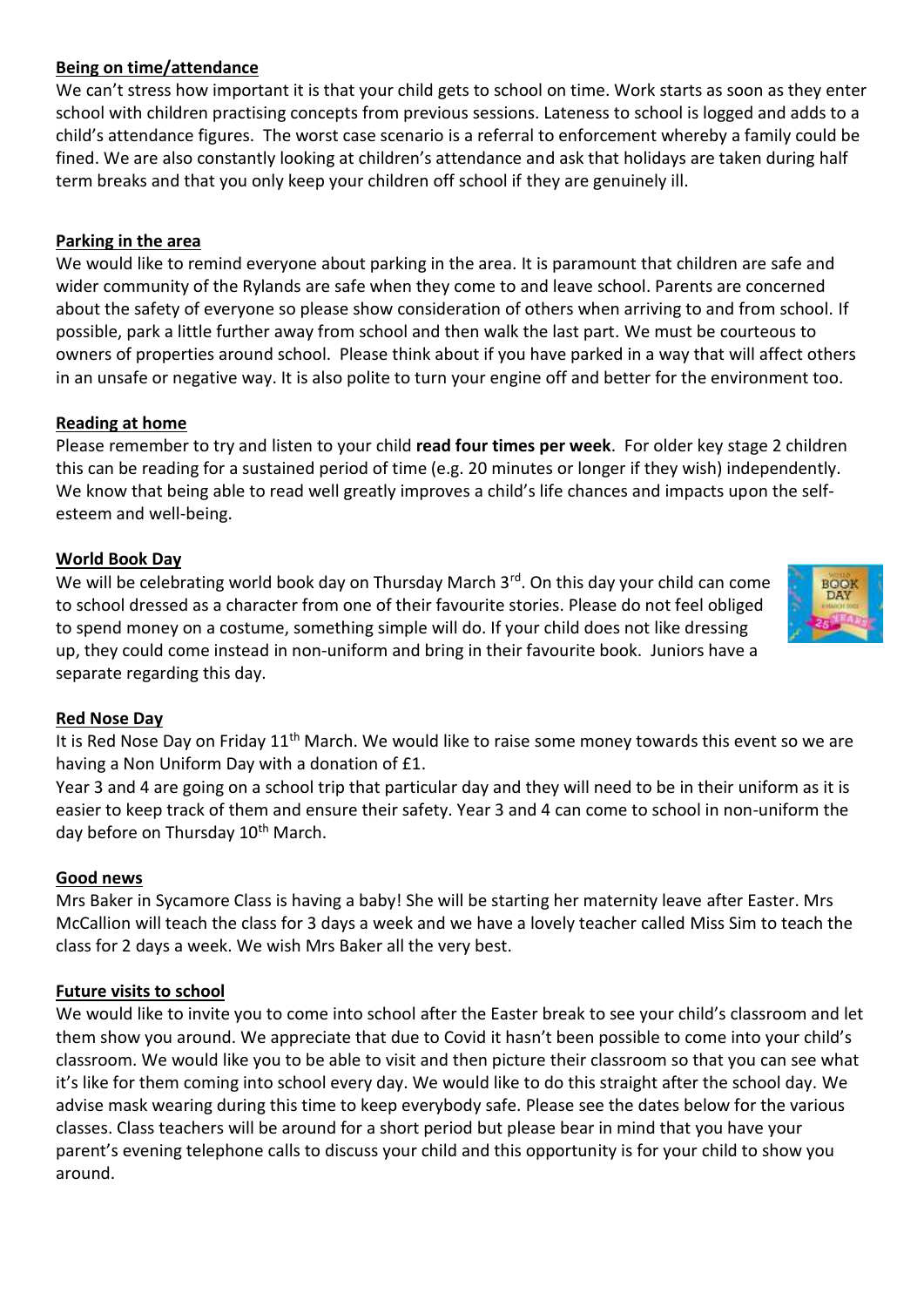# **Being on time/attendance**

We can't stress how important it is that your child gets to school on time. Work starts as soon as they enter school with children practising concepts from previous sessions. Lateness to school is logged and adds to a child's attendance figures. The worst case scenario is a referral to enforcement whereby a family could be fined. We are also constantly looking at children's attendance and ask that holidays are taken during half term breaks and that you only keep your children off school if they are genuinely ill.

## **Parking in the area**

We would like to remind everyone about parking in the area. It is paramount that children are safe and wider community of the Rylands are safe when they come to and leave school. Parents are concerned about the safety of everyone so please show consideration of others when arriving to and from school. If possible, park a little further away from school and then walk the last part. We must be courteous to owners of properties around school. Please think about if you have parked in a way that will affect others in an unsafe or negative way. It is also polite to turn your engine off and better for the environment too.

#### **Reading at home**

Please remember to try and listen to your child **read four times per week**. For older key stage 2 children this can be reading for a sustained period of time (e.g. 20 minutes or longer if they wish) independently. We know that being able to read well greatly improves a child's life chances and impacts upon the selfesteem and well-being.

#### **World Book Day**

We will be celebrating world book day on Thursday March 3<sup>rd</sup>. On this day your child can come to school dressed as a character from one of their favourite stories. Please do not feel obliged to spend money on a costume, something simple will do. If your child does not like dressing up, they could come instead in non-uniform and bring in their favourite book. Juniors have a separate regarding this day.



#### **Red Nose Day**

It is Red Nose Day on Friday 11<sup>th</sup> March. We would like to raise some money towards this event so we are having a Non Uniform Day with a donation of £1.

Year 3 and 4 are going on a school trip that particular day and they will need to be in their uniform as it is easier to keep track of them and ensure their safety. Year 3 and 4 can come to school in non-uniform the day before on Thursday 10<sup>th</sup> March.

#### **Good news**

Mrs Baker in Sycamore Class is having a baby! She will be starting her maternity leave after Easter. Mrs McCallion will teach the class for 3 days a week and we have a lovely teacher called Miss Sim to teach the class for 2 days a week. We wish Mrs Baker all the very best.

#### **Future visits to school**

We would like to invite you to come into school after the Easter break to see your child's classroom and let them show you around. We appreciate that due to Covid it hasn't been possible to come into your child's classroom. We would like you to be able to visit and then picture their classroom so that you can see what it's like for them coming into school every day. We would like to do this straight after the school day. We advise mask wearing during this time to keep everybody safe. Please see the dates below for the various classes. Class teachers will be around for a short period but please bear in mind that you have your parent's evening telephone calls to discuss your child and this opportunity is for your child to show you around.